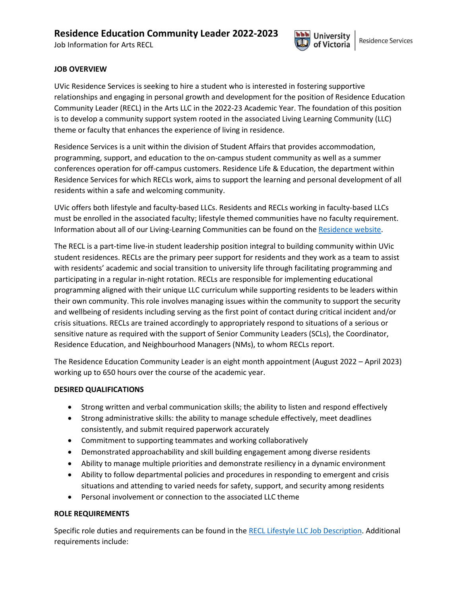# **Residence Education Community Leader 2022-2023**

Job Information for Arts RECL



### **JOB OVERVIEW**

UVic Residence Services is seeking to hire a student who is interested in fostering supportive relationships and engaging in personal growth and development for the position of Residence Education Community Leader (RECL) in the Arts LLC in the 2022-23 Academic Year. The foundation of this position is to develop a community support system rooted in the associated Living Learning Community (LLC) theme or faculty that enhances the experience of living in residence.

Residence Services is a unit within the division of Student Affairs that provides accommodation, programming, support, and education to the on-campus student community as well as a summer conferences operation for off-campus customers. Residence Life & Education, the department within Residence Services for which RECLs work, aims to support the learning and personal development of all residents within a safe and welcoming community.

UVic offers both lifestyle and faculty-based LLCs. Residents and RECLs working in faculty-based LLCs must be enrolled in the associated faculty; lifestyle themed communities have no faculty requirement. Information about all of our Living-Learning Communities can be found on the [Residence website.](https://www.uvic.ca/residence/future-residents/communities/llc/index.php)

The RECL is a part-time live-in student leadership position integral to building community within UVic student residences. RECLs are the primary peer support for residents and they work as a team to assist with residents' academic and social transition to university life through facilitating programming and participating in a regular in-night rotation. RECLs are responsible for implementing educational programming aligned with their unique LLC curriculum while supporting residents to be leaders within their own community. This role involves managing issues within the community to support the security and wellbeing of residents including serving as the first point of contact during critical incident and/or crisis situations. RECLs are trained accordingly to appropriately respond to situations of a serious or sensitive nature as required with the support of Senior Community Leaders (SCLs), the Coordinator, Residence Education, and Neighbourhood Managers (NMs), to whom RECLs report.

The Residence Education Community Leader is an eight month appointment (August 2022 – April 2023) working up to 650 hours over the course of the academic year.

#### **DESIRED QUALIFICATIONS**

- Strong written and verbal communication skills; the ability to listen and respond effectively
- Strong administrative skills: the ability to manage schedule effectively, meet deadlines consistently, and submit required paperwork accurately
- Commitment to supporting teammates and working collaboratively
- Demonstrated approachability and skill building engagement among diverse residents
- Ability to manage multiple priorities and demonstrate resiliency in a dynamic environment
- Ability to follow departmental policies and procedures in responding to emergent and crisis situations and attending to varied needs for safety, support, and security among residents
- Personal involvement or connection to the associated LLC theme

### **ROLE REQUIREMENTS**

Specific role duties and requirements can be found in th[e RECL Lifestyle LLC Job Description.](https://www.uvic.ca/residence/assets/docs/job-desc-recl-lifestyle.pdf) Additional requirements include: